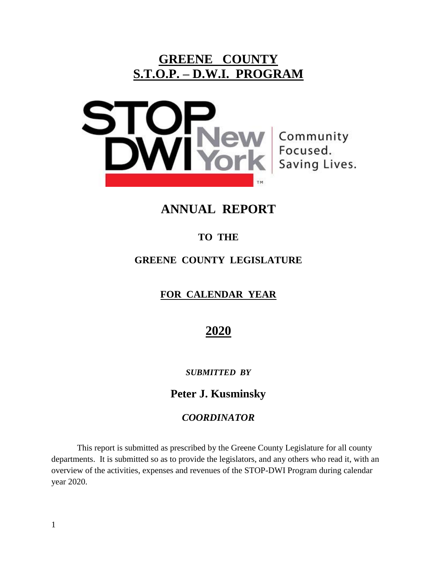# **GREENE COUNTY S.T.O.P. – D.W.I. PROGRAM**



Community<br>Focused.<br>Saving Lives.

# **ANNUAL REPORT**

## **TO THE**

### **GREENE COUNTY LEGISLATURE**

## **FOR CALENDAR YEAR**

# **2020**

### *SUBMITTED BY*

## **Peter J. Kusminsky**

### *COORDINATOR*

This report is submitted as prescribed by the Greene County Legislature for all county departments. It is submitted so as to provide the legislators, and any others who read it, with an overview of the activities, expenses and revenues of the STOP-DWI Program during calendar year 2020.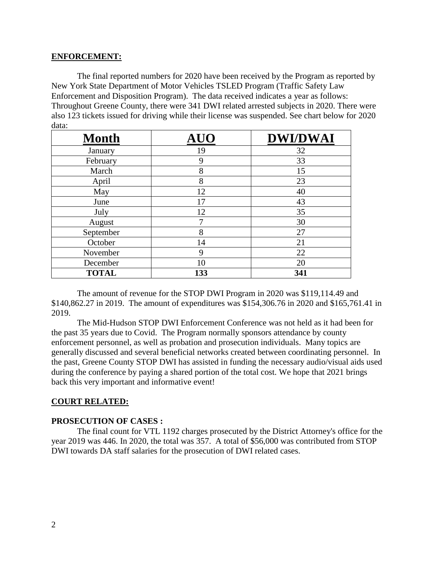### **ENFORCEMENT:**

The final reported numbers for 2020 have been received by the Program as reported by New York State Department of Motor Vehicles TSLED Program (Traffic Safety Law Enforcement and Disposition Program). The data received indicates a year as follows: Throughout Greene County, there were 341 DWI related arrested subjects in 2020. There were also 123 tickets issued for driving while their license was suspended. See chart below for 2020 data:

| <b>Month</b> |     | <b>DWI/DWAI</b> |
|--------------|-----|-----------------|
| January      | 19  | 32              |
| February     | 9   | 33              |
| March        | 8   | 15              |
| April        | 8   | 23              |
| May          | 12  | 40              |
| June         | 17  | 43              |
| July         | 12  | 35              |
| August       | 7   | 30              |
| September    | 8   | 27              |
| October      | 14  | 21              |
| November     | 9   | 22              |
| December     | 10  | 20              |
| <b>TOTAL</b> | 133 | 341             |

The amount of revenue for the STOP DWI Program in 2020 was \$119,114.49 and \$140,862.27 in 2019. The amount of expenditures was \$154,306.76 in 2020 and \$165,761.41 in 2019.

The Mid-Hudson STOP DWI Enforcement Conference was not held as it had been for the past 35 years due to Covid. The Program normally sponsors attendance by county enforcement personnel, as well as probation and prosecution individuals. Many topics are generally discussed and several beneficial networks created between coordinating personnel. In the past, Greene County STOP DWI has assisted in funding the necessary audio/visual aids used during the conference by paying a shared portion of the total cost. We hope that 2021 brings back this very important and informative event!

### **COURT RELATED:**

#### **PROSECUTION OF CASES :**

The final count for VTL 1192 charges prosecuted by the District Attorney's office for the year 2019 was 446. In 2020, the total was 357. A total of \$56,000 was contributed from STOP DWI towards DA staff salaries for the prosecution of DWI related cases.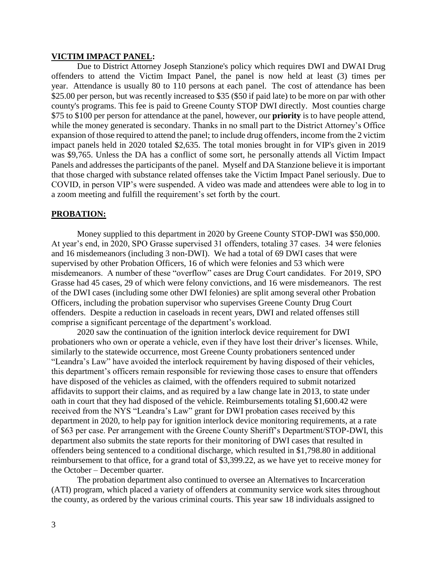#### **VICTIM IMPACT PANEL:**

Due to District Attorney Joseph Stanzione's policy which requires DWI and DWAI Drug offenders to attend the Victim Impact Panel, the panel is now held at least (3) times per year. Attendance is usually 80 to 110 persons at each panel. The cost of attendance has been \$25.00 per person, but was recently increased to \$35 (\$50 if paid late) to be more on par with other county's programs. This fee is paid to Greene County STOP DWI directly. Most counties charge \$75 to \$100 per person for attendance at the panel, however, our **priority** is to have people attend, while the money generated is secondary. Thanks in no small part to the District Attorney's Office expansion of those required to attend the panel; to include drug offenders, income from the 2 victim impact panels held in 2020 totaled \$2,635. The total monies brought in for VIP's given in 2019 was \$9,765. Unless the DA has a conflict of some sort, he personally attends all Victim Impact Panels and addresses the participants of the panel. Myself and DA Stanzione believe it is important that those charged with substance related offenses take the Victim Impact Panel seriously. Due to COVID, in person VIP's were suspended. A video was made and attendees were able to log in to a zoom meeting and fulfill the requirement's set forth by the court.

#### **PROBATION:**

Money supplied to this department in 2020 by Greene County STOP-DWI was \$50,000. At year's end, in 2020, SPO Grasse supervised 31 offenders, totaling 37 cases. 34 were felonies and 16 misdemeanors (including 3 non-DWI). We had a total of 69 DWI cases that were supervised by other Probation Officers, 16 of which were felonies and 53 which were misdemeanors. A number of these "overflow" cases are Drug Court candidates. For 2019, SPO Grasse had 45 cases, 29 of which were felony convictions, and 16 were misdemeanors. The rest of the DWI cases (including some other DWI felonies) are split among several other Probation Officers, including the probation supervisor who supervises Greene County Drug Court offenders. Despite a reduction in caseloads in recent years, DWI and related offenses still comprise a significant percentage of the department's workload.

2020 saw the continuation of the ignition interlock device requirement for DWI probationers who own or operate a vehicle, even if they have lost their driver's licenses. While, similarly to the statewide occurrence, most Greene County probationers sentenced under "Leandra's Law" have avoided the interlock requirement by having disposed of their vehicles, this department's officers remain responsible for reviewing those cases to ensure that offenders have disposed of the vehicles as claimed, with the offenders required to submit notarized affidavits to support their claims, and as required by a law change late in 2013, to state under oath in court that they had disposed of the vehicle. Reimbursements totaling \$1,600.42 were received from the NYS "Leandra's Law" grant for DWI probation cases received by this department in 2020, to help pay for ignition interlock device monitoring requirements, at a rate of \$63 per case. Per arrangement with the Greene County Sheriff's Department/STOP-DWI, this department also submits the state reports for their monitoring of DWI cases that resulted in offenders being sentenced to a conditional discharge, which resulted in \$1,798.80 in additional reimbursement to that office, for a grand total of \$3,399.22, as we have yet to receive money for the October – December quarter.

The probation department also continued to oversee an Alternatives to Incarceration (ATI) program, which placed a variety of offenders at community service work sites throughout the county, as ordered by the various criminal courts. This year saw 18 individuals assigned to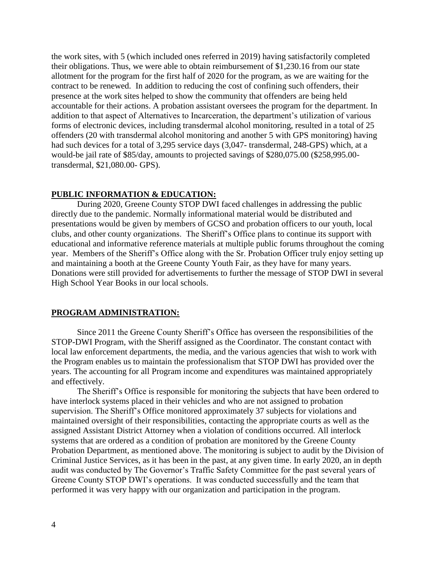the work sites, with 5 (which included ones referred in 2019) having satisfactorily completed their obligations. Thus, we were able to obtain reimbursement of \$1,230.16 from our state allotment for the program for the first half of 2020 for the program, as we are waiting for the contract to be renewed. In addition to reducing the cost of confining such offenders, their presence at the work sites helped to show the community that offenders are being held accountable for their actions. A probation assistant oversees the program for the department. In addition to that aspect of Alternatives to Incarceration, the department's utilization of various forms of electronic devices, including transdermal alcohol monitoring, resulted in a total of 25 offenders (20 with transdermal alcohol monitoring and another 5 with GPS monitoring) having had such devices for a total of 3,295 service days (3,047- transdermal, 248-GPS) which, at a would-be jail rate of \$85/day, amounts to projected savings of \$280,075.00 (\$258,995.00 transdermal, \$21,080.00- GPS).

### **PUBLIC INFORMATION & EDUCATION:**

During 2020, Greene County STOP DWI faced challenges in addressing the public directly due to the pandemic. Normally informational material would be distributed and presentations would be given by members of GCSO and probation officers to our youth, local clubs, and other county organizations. The Sheriff's Office plans to continue its support with educational and informative reference materials at multiple public forums throughout the coming year. Members of the Sheriff's Office along with the Sr. Probation Officer truly enjoy setting up and maintaining a booth at the Greene County Youth Fair, as they have for many years. Donations were still provided for advertisements to further the message of STOP DWI in several High School Year Books in our local schools.

#### **PROGRAM ADMINISTRATION:**

Since 2011 the Greene County Sheriff's Office has overseen the responsibilities of the STOP-DWI Program, with the Sheriff assigned as the Coordinator. The constant contact with local law enforcement departments, the media, and the various agencies that wish to work with the Program enables us to maintain the professionalism that STOP DWI has provided over the years. The accounting for all Program income and expenditures was maintained appropriately and effectively.

The Sheriff's Office is responsible for monitoring the subjects that have been ordered to have interlock systems placed in their vehicles and who are not assigned to probation supervision. The Sheriff's Office monitored approximately 37 subjects for violations and maintained oversight of their responsibilities, contacting the appropriate courts as well as the assigned Assistant District Attorney when a violation of conditions occurred. All interlock systems that are ordered as a condition of probation are monitored by the Greene County Probation Department, as mentioned above. The monitoring is subject to audit by the Division of Criminal Justice Services, as it has been in the past, at any given time. In early 2020, an in depth audit was conducted by The Governor's Traffic Safety Committee for the past several years of Greene County STOP DWI's operations. It was conducted successfully and the team that performed it was very happy with our organization and participation in the program.